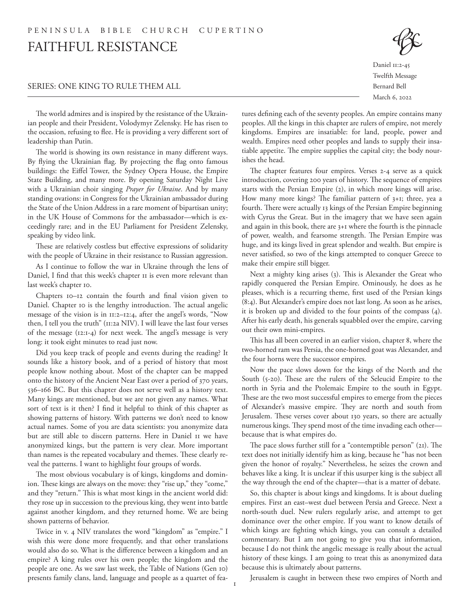## SERIES: ONE KING TO RULE THEM ALL

Daniel 11:2-45 Twelfth Message Bernard Bell March 6, 2022

The world admires and is inspired by the resistance of the Ukrainian people and their President, Volodymyr Zelensky. He has risen to the occasion, refusing to flee. He is providing a very different sort of leadership than Putin.

The world is showing its own resistance in many different ways. By flying the Ukrainian flag. By projecting the flag onto famous buildings: the Eiffel Tower, the Sydney Opera House, the Empire State Building, and many more. By opening Saturday Night Live with a Ukrainian choir singing *Prayer for Ukraine*. And by many standing ovations: in Congress for the Ukrainian ambassador during the State of the Union Address in a rare moment of bipartisan unity; in the UK House of Commons for the ambassador—which is exceedingly rare; and in the EU Parliament for President Zelensky, speaking by video link.

These are relatively costless but effective expressions of solidarity with the people of Ukraine in their resistance to Russian aggression.

As I continue to follow the war in Ukraine through the lens of Daniel, I find that this week's chapter 11 is even more relevant than last week's chapter 10.

Chapters 10–12 contain the fourth and final vision given to Daniel. Chapter 10 is the lengthy introduction. The actual angelic message of the vision is in 11:2–12:4, after the angel's words, "Now then, I tell you the truth" (11:2a NIV). I will leave the last four verses of the message (12:1-4) for next week. The angel's message is very long: it took eight minutes to read just now.

Did you keep track of people and events during the reading? It sounds like a history book, and of a period of history that most people know nothing about. Most of the chapter can be mapped onto the history of the Ancient Near East over a period of 370 years, 536–166 BC. But this chapter does not serve well as a history text. Many kings are mentioned, but we are not given any names. What sort of text is it then? I find it helpful to think of this chapter as showing patterns of history. With patterns we don't need to know actual names. Some of you are data scientists: you anonymize data but are still able to discern patterns. Here in Daniel 11 we have anonymized kings, but the pattern is very clear. More important than names is the repeated vocabulary and themes. These clearly reveal the patterns. I want to highlight four groups of words.

The most obvious vocabulary is of kings, kingdoms and dominion. These kings are always on the move: they "rise up," they "come," and they "return." This is what most kings in the ancient world did: they rose up in succession to the previous king, they went into battle against another kingdom, and they returned home. We are being shown patterns of behavior.

Twice in v. 4 NIV translates the word "kingdom" as "empire." I wish this were done more frequently, and that other translations would also do so. What is the difference between a kingdom and an empire? A king rules over his own people; the kingdom and the people are one. As we saw last week, the Table of Nations (Gen 10) presents family clans, land, language and people as a quartet of features defining each of the seventy peoples. An empire contains many peoples. All the kings in this chapter are rulers of empire, not merely kingdoms. Empires are insatiable: for land, people, power and wealth. Empires need other peoples and lands to supply their insatiable appetite. The empire supplies the capital city; the body nourishes the head.

The chapter features four empires. Verses 2-4 serve as a quick introduction, covering 200 years of history. The sequence of empires starts with the Persian Empire (2), in which more kings will arise. How many more kings? The familiar pattern of 3+1; three, yea a fourth. There were actually 13 kings of the Persian Empire beginning with Cyrus the Great. But in the imagery that we have seen again and again in this book, there are 3+1 where the fourth is the pinnacle of power, wealth, and fearsome strength. The Persian Empire was huge, and its kings lived in great splendor and wealth. But empire is never satisfied, so two of the kings attempted to conquer Greece to make their empire still bigger.

Next a mighty king arises (3). This is Alexander the Great who rapidly conquered the Persian Empire. Ominously, he does as he pleases, which is a recurring theme, first used of the Persian kings (8:4). But Alexander's empire does not last long. As soon as he arises, it is broken up and divided to the four points of the compass (4). After his early death, his generals squabbled over the empire, carving out their own mini-empires.

This has all been covered in an earlier vision, chapter 8, where the two-horned ram was Persia, the one-horned goat was Alexander, and the four horns were the successor empires.

Now the pace slows down for the kings of the North and the South (5-20). These are the rulers of the Seleucid Empire to the north in Syria and the Ptolemaic Empire to the south in Egypt. These are the two most successful empires to emerge from the pieces of Alexander's massive empire. They are north and south from Jerusalem. These verses cover about 130 years, so there are actually numerous kings. They spend most of the time invading each other because that is what empires do.

The pace slows further still for a "contemptible person" (21). The text does not initially identify him as king, because he "has not been given the honor of royalty." Nevertheless, he seizes the crown and behaves like a king. It is unclear if this usurper king is the subject all the way through the end of the chapter—that is a matter of debate.

So, this chapter is about kings and kingdoms. It is about dueling empires. First an east–west duel between Persia and Greece. Next a north-south duel. New rulers regularly arise, and attempt to get dominance over the other empire. If you want to know details of which kings are fighting which kings, you can consult a detailed commentary. But I am not going to give you that information, because I do not think the angelic message is really about the actual history of these kings. I am going to treat this as anonymized data because this is ultimately about patterns.

Jerusalem is caught in between these two empires of North and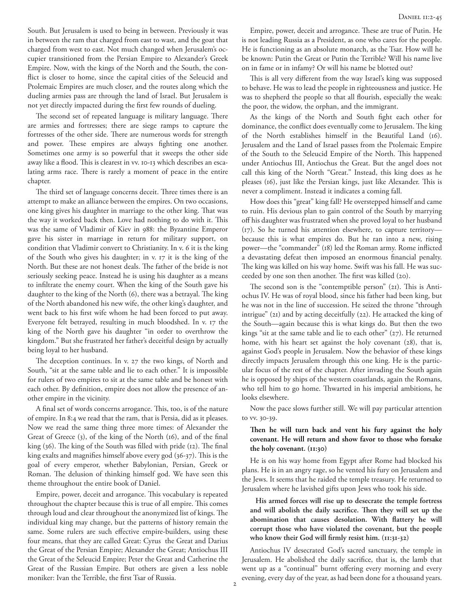South. But Jerusalem is used to being in between. Previously it was in between the ram that charged from east to wast, and the goat that charged from west to east. Not much changed when Jerusalem's occupier transitioned from the Persian Empire to Alexander's Greek Empire. Now, with the kings of the North and the South, the conflict is closer to home, since the capital cities of the Seleucid and Ptolemaic Empires are much closer, and the routes along which the dueling armies pass are through the land of Israel. But Jerusalem is not yet directly impacted during the first few rounds of dueling.

The second set of repeated language is military language. There are armies and fortresses; there are siege ramps to capture the fortresses of the other side. There are numerous words for strength and power. These empires are always fighting one another. Sometimes one army is so powerful that it sweeps the other side away like a flood. This is clearest in vv. 10-13 which describes an escalating arms race. There is rarely a moment of peace in the entire chapter.

The third set of language concerns deceit. Three times there is an attempt to make an alliance between the empires. On two occasions, one king gives his daughter in marriage to the other king. That was the way it worked back then. Love had nothing to do with it. This was the same of Vladimir of Kiev in 988: the Byzantine Emperor gave his sister in marriage in return for military support, on condition that Vladimir convert to Christianity. In v. 6 it is the king of the South who gives his daughter; in v. 17 it is the king of the North. But these are not honest deals. The father of the bride is not seriously seeking peace. Instead he is using his daughter as a means to infiltrate the enemy court. When the king of the South gave his daughter to the king of the North (6), there was a betrayal. The king of the North abandoned his new wife, the other king's daughter, and went back to his first wife whom he had been forced to put away. Everyone felt betrayed, resulting in much bloodshed. In v. 17 the king of the North gave his daughter "in order to overthrow the kingdom." But she frustrated her father's deceitful design by actually being loyal to her husband.

The deception continues. In v. 27 the two kings, of North and South, "sit at the same table and lie to each other." It is impossible for rulers of two empires to sit at the same table and be honest with each other. By definition, empire does not allow the presence of another empire in the vicinity.

A final set of words concerns arrogance. This, too, is of the nature of empire. In 8:4 we read that the ram, that is Persia, did as it pleases. Now we read the same thing three more times: of Alexander the Great of Greece (3), of the king of the North (16), and of the final king (36). The king of the South was filled with pride (12). The final king exalts and magnifies himself above every god (36-37). This is the goal of every emperor, whether Babylonian, Persian, Greek or Roman. The delusion of thinking himself god. We have seen this theme throughout the entire book of Daniel.

Empire, power, deceit and arrogance. This vocabulary is repeated throughout the chapter because this is true of all empire. This comes through loud and clear throughout the anonymized list of kings. The individual king may change, but the patterns of history remain the same. Some rulers are such effective empire-builders, using these four means, that they are called Great: Cyrus the Great and Darius the Great of the Persian Empire; Alexander the Great; Antiochus III the Great of the Seleucid Empire; Peter the Great and Catherine the Great of the Russian Empire. But others are given a less noble moniker: Ivan the Terrible, the first Tsar of Russia.

Empire, power, deceit and arrogance. These are true of Putin. He is not leading Russia as a President, as one who cares for the people. He is functioning as an absolute monarch, as the Tsar. How will he be known: Putin the Great or Putin the Terrible? Will his name live on in fame or in infamy? Or will his name be blotted out?

This is all very different from the way Israel's king was supposed to behave. He was to lead the people in righteousness and justice. He was to shepherd the people so that all flourish, especially the weak: the poor, the widow, the orphan, and the immigrant.

As the kings of the North and South fight each other for dominance, the conflict does eventually come to Jerusalem. The king of the North establishes himself in the Beautiful Land (16). Jerusalem and the Land of Israel passes from the Ptolemaic Empire of the South to the Seleucid Empire of the North. This happened under Antiochus III, Antiochus the Great. But the angel does not call this king of the North "Great." Instead, this king does as he pleases (16), just like the Persian kings, just like Alexander. This is never a compliment. Instead it indicates a coming fall.

How does this "great" king fall? He overstepped himself and came to ruin. His devious plan to gain control of the South by marrying off his daughter was frustrated when she proved loyal to her husband (17). So he turned his attention elsewhere, to capture territory because this is what empires do. But he ran into a new, rising power—the "commander" (18) led the Roman army. Rome inflicted a devastating defeat then imposed an enormous financial penalty. The king was killed on his way home. Swift was his fall. He was succeeded by one son then another. The first was killed (20).

The second son is the "contemptible person" (21). This is Antiochus IV. He was of royal blood, since his father had been king, but he was not in the line of succession. He seized the throne "through intrigue" (21) and by acting deceitfully (22). He attacked the king of the South—again because this is what kings do. But then the two kings "sit at the same table and lie to each other" (27). He returned home, with his heart set against the holy covenant (28), that is, against God's people in Jerusalem. Now the behavior of these kings directly impacts Jerusalem through this one king. He is the particular focus of the rest of the chapter. After invading the South again he is opposed by ships of the western coastlands, again the Romans, who tell him to go home. Thwarted in his imperial ambitions, he looks elsewhere.

Now the pace slows further still. We will pay particular attention to vv. 30-39.

## **Then he will turn back and vent his fury against the holy covenant. He will return and show favor to those who forsake the holy covenant. (11:30)**

He is on his way home from Egypt after Rome had blocked his plans. He is in an angry rage, so he vented his fury on Jerusalem and the Jews. It seems that he raided the temple treasury. He returned to Jerusalem where he lavished gifts upon Jews who took his side.

**His armed forces will rise up to desecrate the temple fortress and will abolish the daily sacrifice. Then they will set up the abomination that causes desolation. With flattery he will corrupt those who have violated the covenant, but the people who know their God will firmly resist him. (11:31-32)**

Antiochus IV desecrated God's sacred sanctuary, the temple in Jerusalem. He abolished the daily sacrifice, that is, the lamb that went up as a "continual" burnt offering every morning and every evening, every day of the year, as had been done for a thousand years.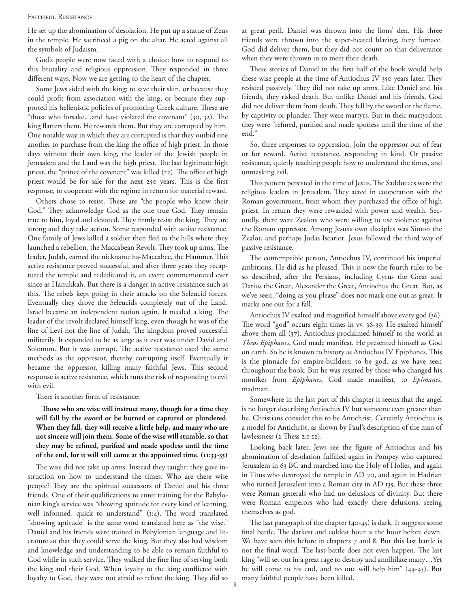## FAITHFUL RESISTANCE

He set up the abomination of desolation. He put up a statue of Zeus in the temple. He sacrificed a pig on the altar. He acted against all the symbols of Judaism.

God's people were now faced with a choice: how to respond to this brutality and religious oppression. They responded in three different ways. Now we are getting to the heart of the chapter.

Some Jews sided with the king: to save their skin, or because they could profit from association with the king, or because they supported his hellenistic policies of promoting Greek culture. These are "those who forsake…and have violated the covenant" (30, 32). The king flatters them. He rewards them. But they are corrupted by him. One notable way in which they are corrupted is that they outbid one another to purchase from the king the office of high priest. In those days without their own king, the leader of the Jewish people in Jerusalem and the Land was the high priest. The last legitimate high priest, the "prince of the covenant" was killed (22). The office of high priest would be for sale for the next 250 years. This is the first response, to cooperate with the regime in return for material reward.

Others chose to resist. These are "the people who know their God." They acknowledge God as the one true God. They remain true to him, loyal and devoted. They firmly resist the king. They are strong and they take action. Some responded with active resistance. One family of Jews killed a soldier then fled to the hills where they launched a rebellion, the Maccabean Revolt. They took up arms. The leader, Judah, earned the nickname ha-Maccabee, the Hammer. This active resistance proved successful, and after three years they recaptured the temple and rededicated it, an event commemorated ever since as Hanukkah. But there is a danger in active resistance such as this. The rebels kept going in their attacks on the Seleucid forces. Eventually they drove the Seleucids completely out of the Land. Israel became an independent nation again. It needed a king. The leader of the revolt declared himself king, even though he was of the line of Levi not the line of Judah. The kingdom proved successful militarily. It expanded to be as large as it ever was under David and Solomon. But it was corrupt. The active resistance used the same methods as the oppressor, thereby corrupting itself. Eventually it became the oppressor, killing many faithful Jews. This second response is active resistance, which runs the risk of responding to evil with evil.

There is another form of resistance:

**Those who are wise will instruct many, though for a time they will fall by the sword or be burned or captured or plundered. When they fall, they will receive a little help, and many who are not sincere will join them. Some of the wise will stumble, so that they may be refined, purified and made spotless until the time of the end, for it will still come at the appointed time. (11:33-35)**

The wise did not take up arms. Instead they taught: they gave instruction on how to understand the times. Who are these wise people? They are the spiritual successors of Daniel and his three friends. One of their qualifications to enter training for the Babylonian king's service was "showing aptitude for every kind of learning, well informed, quick to understand" (1:4). The word translated "showing aptitude" is the same word translated here as "the wise." Daniel and his friends were trained in Babylonian language and literature so that they could serve the king. But they also had wisdom and knowledge and understanding to be able to remain faithful to God while in such service. They walked the fine line of serving both the king and their God. When loyalty to the king conflicted with loyalty to God, they were not afraid to refuse the king. They did so at great peril. Daniel was thrown into the lions' den. His three friends were thrown into the super-heated blazing, fiery furnace. God did deliver them, but they did not count on that deliverance when they were thrown in to meet their death.

These stories of Daniel in the first half of the book would help these wise people at the time of Antiochus IV 350 years later. They resisted passively. They did not take up arms. Like Daniel and his friends, they risked death. But unlike Daniel and his friends, God did not deliver them from death. They fell by the sword or the flame, by captivity or plunder. They were martyrs. But in their martyrdom they were "refined, purified and made spotless until the time of the end."

So, three responses to oppression. Join the oppressor out of fear or for reward. Active resistance, responding in kind. Or passive resistance, quietly teaching people how to understand the times, and unmasking evil.

This pattern persisted in the time of Jesus. The Sadducees were the religious leaders in Jerusalem. They acted in cooperation with the Roman government, from whom they purchased the office of high priest. In return they were rewarded with power and wealth. Secondly, there were Zealots who were willing to use violence against the Roman oppressor. Among Jesus's own disciples was Simon the Zealot, and perhaps Judas Iscariot. Jesus followed the third way of passive resistance.

The contemptible person, Antiochus IV, continued his imperial ambitions. He did as he pleased. This is now the fourth ruler to be so described, after the Persians, including Cyrus the Great and Darius the Great, Alexander the Great, Antiochus the Great. But, as we've seen, "doing as you please" does not mark one out as great. It marks one out for a fall.

Antiochus IV exalted and magnified himself above every god (36). The word "god" occurs eight times in vv. 36-39. He exalted himself above them all (37). Antiochus proclaimed himself to the world as *Theos Epiphanes*, God made manifest. He presented himself as God on earth. So he is known to history as Antiochus IV Epiphanes. This is the pinnacle for empire-builders: to be god, as we have seen throughout the book. But he was resisted by those who changed his moniker from *Epiphanes*, God made manifest, to *Epimanes*, madman.

Somewhere in the last part of this chapter it seems that the angel is no longer describing Antiochus IV but someone even greater than he. Christians consider this to be Antichrist. Certainly Antiochus is a model for Antichrist, as shown by Paul's description of the man of lawlessness (2 Thess 2:1-12).

Looking back later, Jews see the figure of Antiochus and his abomination of desolation fulfilled again in Pompey who captured Jerusalem in 63 BC and marched into the Holy of Holies, and again in Titus who destroyed the temple in AD 70, and again in Hadrian who turned Jerusalem into a Roman city in AD 135. But these three were Roman generals who had no delusions of divinity. But there were Roman emperors who had exactly these delusions, seeing themselves as god.

The last paragraph of the chapter (40-45) is dark. It suggests some final battle. The darkest and coldest hour is the hour before dawn. We have seen this before in chapters 7 and 8. But this last battle is not the final word. The last battle does not even happen. The last king "will set out in a great rage to destroy and annihilate many…Yet he will come to his end, and no one will help him" (44-45). But many faithful people have been killed.